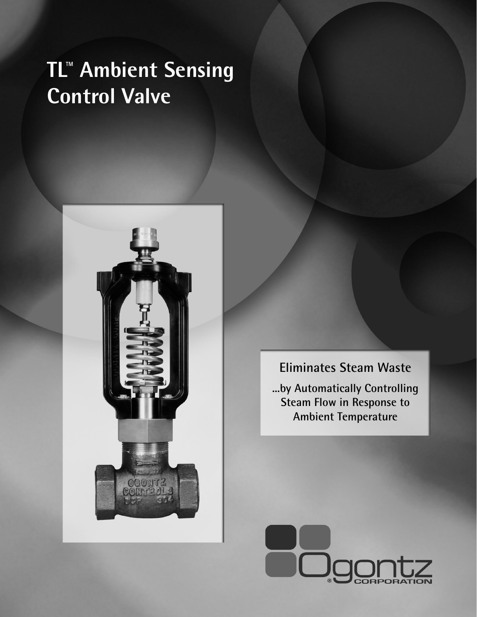# **TL™ Ambient Sensing Control Valve**





**...by Automatically Controlling Steam Flow in Response to Ambient Temperature**

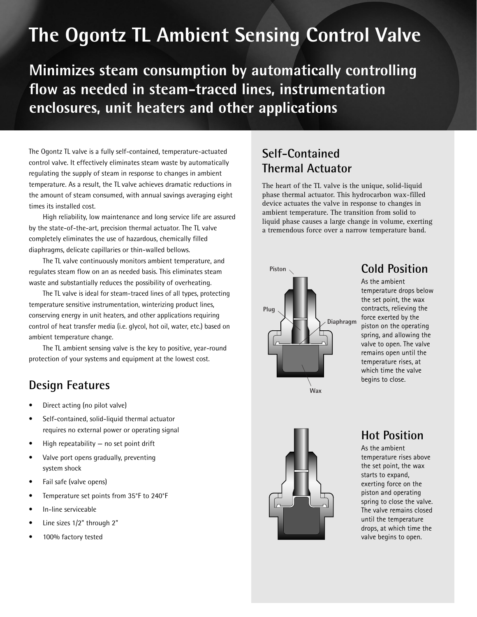# **The Ogontz TL Ambient Sensing Control Valve**

**Minimizes steam consumption by automatically controlling flow as needed in steam-traced lines, instrumentation enclosures, unit heaters and other applications** 

The Ogontz TL valve is a fully self-contained, temperature-actuated control valve. It effectively eliminates steam waste by automatically regulating the supply of steam in response to changes in ambient temperature. As a result, the TL valve achieves dramatic reductions in the amount of steam consumed, with annual savings averaging eight times its installed cost.

High reliability, low maintenance and long service life are assured by the state-of-the-art, precision thermal actuator. The TL valve completely eliminates the use of hazardous, chemically filled diaphragms, delicate capillaries or thin-walled bellows.

The TL valve continuously monitors ambient temperature, and regulates steam flow on an as needed basis. This eliminates steam waste and substantially reduces the possibility of overheating.

The TL valve is ideal for steam-traced lines of all types, protecting temperature sensitive instrumentation, winterizing product lines, conserving energy in unit heaters, and other applications requiring control of heat transfer media (i.e. glycol, hot oil, water, etc.) based on ambient temperature change.

The TL ambient sensing valve is the key to positive, year-round protection of your systems and equipment at the lowest cost.

# **Design Features**

- Direct acting (no pilot valve)
- Self-contained, solid-liquid thermal actuator requires no external power or operating signal
- High repeatability  $-$  no set point drift
- Valve port opens gradually, preventing system shock
- Fail safe (valve opens)
- Temperature set points from 35°F to 240°F
- In-line serviceable
- Line sizes 1/2" through 2"
- 100% factory tested

### **Self-Contained Thermal Actuator**

The heart of the TL valve is the unique, solid-liquid phase thermal actuator. This hydrocarbon wax-filled device actuates the valve in response to changes in ambient temperature. The transition from solid to liquid phase causes a large change in volume, exerting a tremendous force over a narrow temperature band.



# **Cold Position**

As the ambient temperature drops below the set point, the wax contracts, relieving the force exerted by the piston on the operating spring, and allowing the valve to open. The valve remains open until the temperature rises, at which time the valve begins to close.



#### **Hot Position**

As the ambient temperature rises above the set point, the wax starts to expand, exerting force on the piston and operating spring to close the valve. The valve remains closed until the temperature drops, at which time the valve begins to open.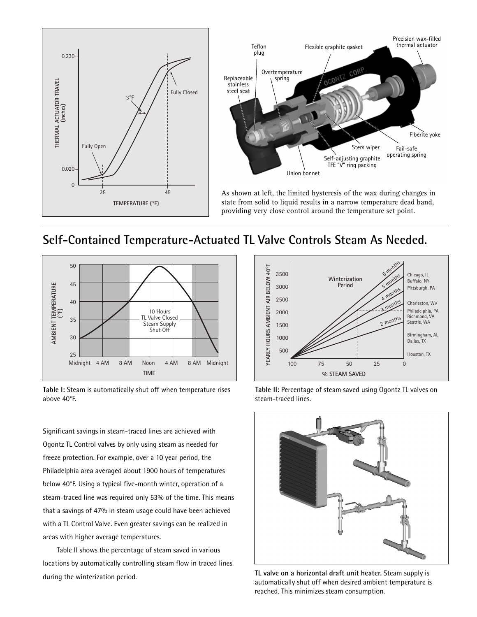

#### **Self-Contained Temperature-Actuated TL Valve Controls Steam As Needed.**



**Table I:** Steam is automatically shut off when temperature rises above 40°F.

Significant savings in steam-traced lines are achieved with Ogontz TL Control valves by only using steam as needed for freeze protection. For example, over a 10 year period, the Philadelphia area averaged about 1900 hours of temperatures below 40°F. Using a typical five-month winter, operation of a steam-traced line was required only 53% of the time. This means that a savings of 47% in steam usage could have been achieved with a TL Control Valve. Even greater savings can be realized in areas with higher average temperatures.

Table II shows the percentage of steam saved in various locations by automatically controlling steam flow in traced lines during the winterization period. **TL valve on a horizontal draft unit heater.** Steam supply is





automatically shut off when desired ambient temperature is reached. This minimizes steam consumption.

**Table II:** Percentage of steam saved using Ogontz TL valves on steam-traced lines.